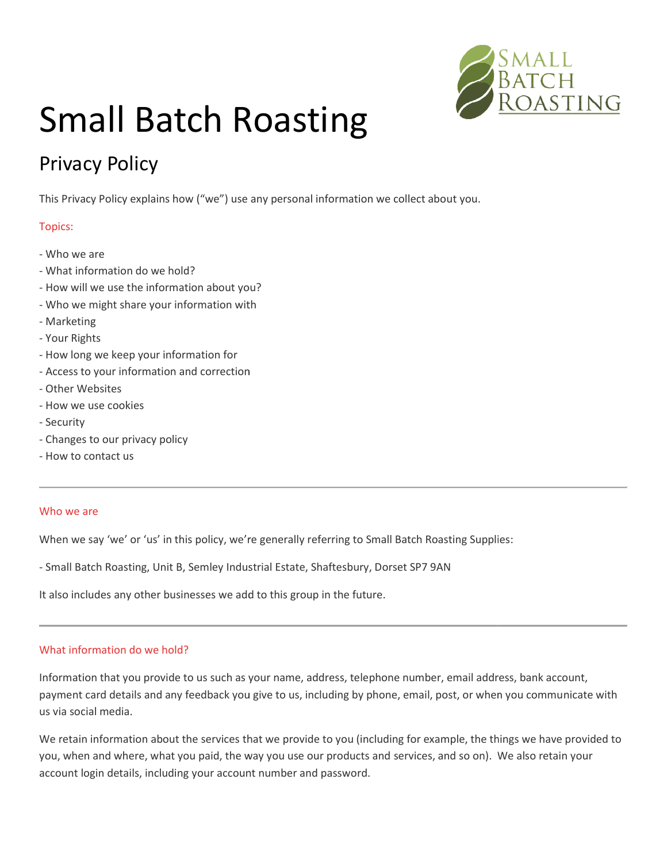

# Small Batch Roasting

# Privacy Policy

This Privacy Policy explains how ("we") use any personal information we collect about you.

# Topics:

- Who we are
- What information do we hold?
- How will we use the information about you?
- Who we might share your information with
- Marketing
- Your Rights
- How long we keep your information for
- Access to your information and correction
- Other Websites
- How we use cookies
- Security
- Changes to our privacy policy
- How to contact us

#### Who we are

When we say 'we' or 'us' in this policy, we're generally referring to Small Batch Roasting Supplies: information and correction<br>s<br>okies<br>r wivacy policy<br>us<br>e' or 'us' in this policy, we're generally referring to Small Batch Roasting Supplies:

- Small Batch Roasting, Unit B, Semley Industrial Estate, Shaftesbury, Dorset SP7 9AN<br>It also includes any other businesses we add to this group in the future.

It also includes any other businesses we add to this group in the future.

# What information do we hold?

Information that you provide to us such as your name, address, telephone number, email address, bank account, payment card details and any feedback you give to us, including by phone, email, post, or when you commu us via social media. at you provide to us such as your name, address, telephone number, email address, bank account,<br>details and any feedback you give to us, including by phone, email, post, or when you communicate<br>edia.<br>I where, what you paid oolicy, we're generally referring to Small Batch Roasting Supplies:<br>
emley Industrial Estate, Shaftesbury, Dorset SP7 9AN<br>
sses we add to this group in the future.<br>
us such as your name, address, telephone number, email ad communicate with

We retain information about the services that we provide to you (including for example, the things we have provided to you, when and where, what you paid, the way you use our products and services, and so on). We also retain your account login details, including your account number and password.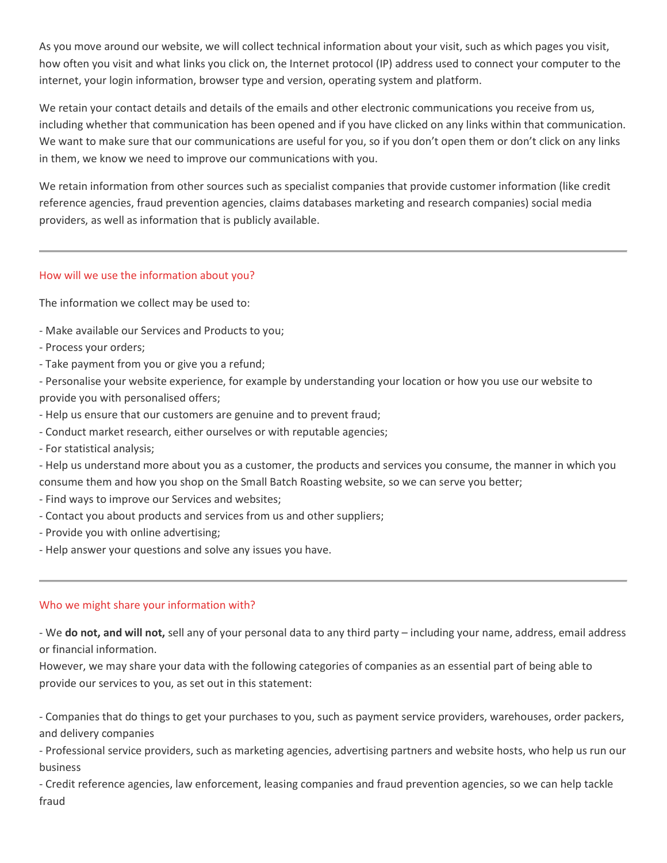As you move around our website, we will collect technical information about your visit, such as which pages you visit, how often you visit and what links you click on, the Internet protocol (IP) address used to connect your computer to the internet, your login information, browser type and version, operating system and platform.

We retain your contact details and details of the emails and other electronic communications you receive from us, including whether that communication has been opened and if you have clicked on any links within that communication. We want to make sure that our communications are useful for you, so if you don't open them or don't click on any links in them, we know we need to improve our communications with you.

We retain information from other sources such as specialist companies that provide customer information (like credit reference agencies, fraud prevention agencies, claims databases marketing and research companies) social media providers, as well as information that is publicly available.

# How will we use the information about you?

The information we collect may be used to:

- Make available our Services and Products to you;
- Process your orders;
- Take payment from you or give you a refund;

- Personalise your website experience, for example by understanding your location or how you use our website to provide you with personalised offers;

- Help us ensure that our customers are genuine and to prevent fraud;
- Conduct market research, either ourselves or with reputable agencies;
- For statistical analysis;

- Help us understand more about you as a customer, the products and services you consume, the manner in which you consume them and how you shop on the Small Batch Roasting website, so we can serve you better;

- Find ways to improve our Services and websites;
- Contact you about products and services from us and other suppliers;
- Provide you with online advertising;
- Help answer your questions and solve any issues you have.

# Who we might share your information with?

- We do not, and will not, sell any of your personal data to any third party – including your name, address, email address or financial information.

However, we may share your data with the following categories of companies as an essential part of being able to provide our services to you, as set out in this statement:

- Companies that do things to get your purchases to you, such as payment service providers, warehouses, order packers, and delivery companies

- Professional service providers, such as marketing agencies, advertising partners and website hosts, who help us run our business

- Credit reference agencies, law enforcement, leasing companies and fraud prevention agencies, so we can help tackle fraud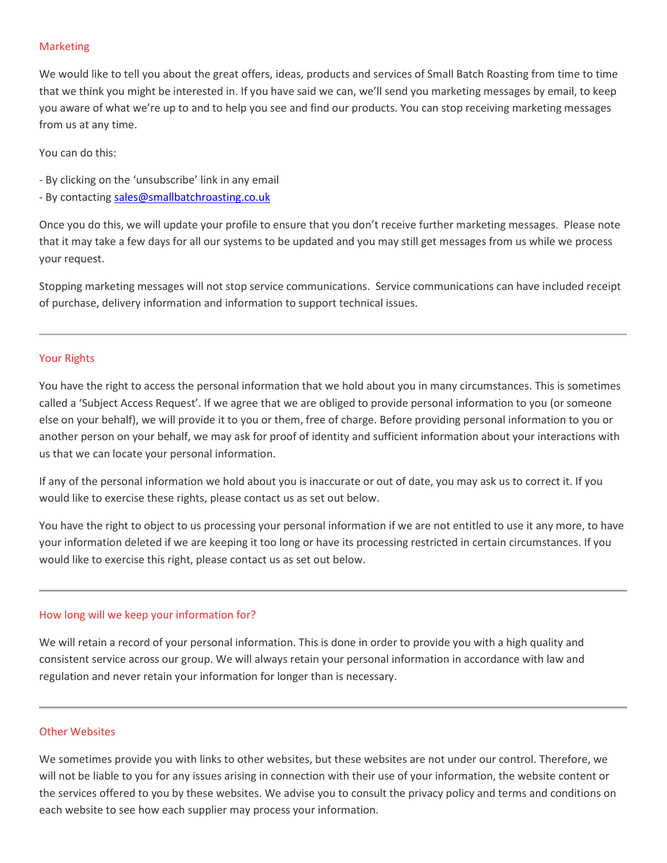# Marketing

We would like to tell you about the great offers, ideas, products and services of Small Batch Roasting from time to time that we think you might be interested in. If you have said we can, we'll send you marketing messages by email, to keep you aware of what we're up to and to help you see and find our products. You can stop receiving marketing messages from us at any time.

You can do this:

- By clicking on the 'unsubscribe' link in any email
- By contacting sales@smallbatchroasting.co.uk

Once you do this, we will update your profile to ensure that you don't receive further marketing messages. Please note that it may take a few days for all our systems to be updated and you may still get messages from us while we process your request.

Stopping marketing messages will not stop service communications. Service communications can have included receipt of purchase, delivery information and information to support technical issues.

#### Your Rights

You have the right to access the personal information that we hold about you in many circumstances. This is sometimes called a 'Subject Access Request'. If we agree that we are obliged to provide personal information to you (or someone else on your behalf), we will provide it to you or them, free of charge. Before providing personal information to you or another person on your behalf, we may ask for proof of identity and sufficient information about your interactions with us that we can locate your personal information.

If any of the personal information we hold about you is inaccurate or out of date, you may ask us to correct it. If you would like to exercise these rights, please contact us as set out below.

You have the right to object to us processing your personal information if we are not entitled to use it any more, to have your information deleted if we are keeping it too long or have its processing restricted in certain circumstances. If you would like to exercise this right, please contact us as set out below.

# How long will we keep your information for?

We will retain a record of your personal information. This is done in order to provide you with a high quality and consistent service across our group. We will always retain your personal information in accordance with law and regulation and never retain your information for longer than is necessary.

# Other Websites

We sometimes provide you with links to other websites, but these websites are not under our control. Therefore, we will not be liable to you for any issues arising in connection with their use of your information, the website content or the services offered to you by these websites. We advise you to consult the privacy policy and terms and conditions on each website to see how each supplier may process your information.